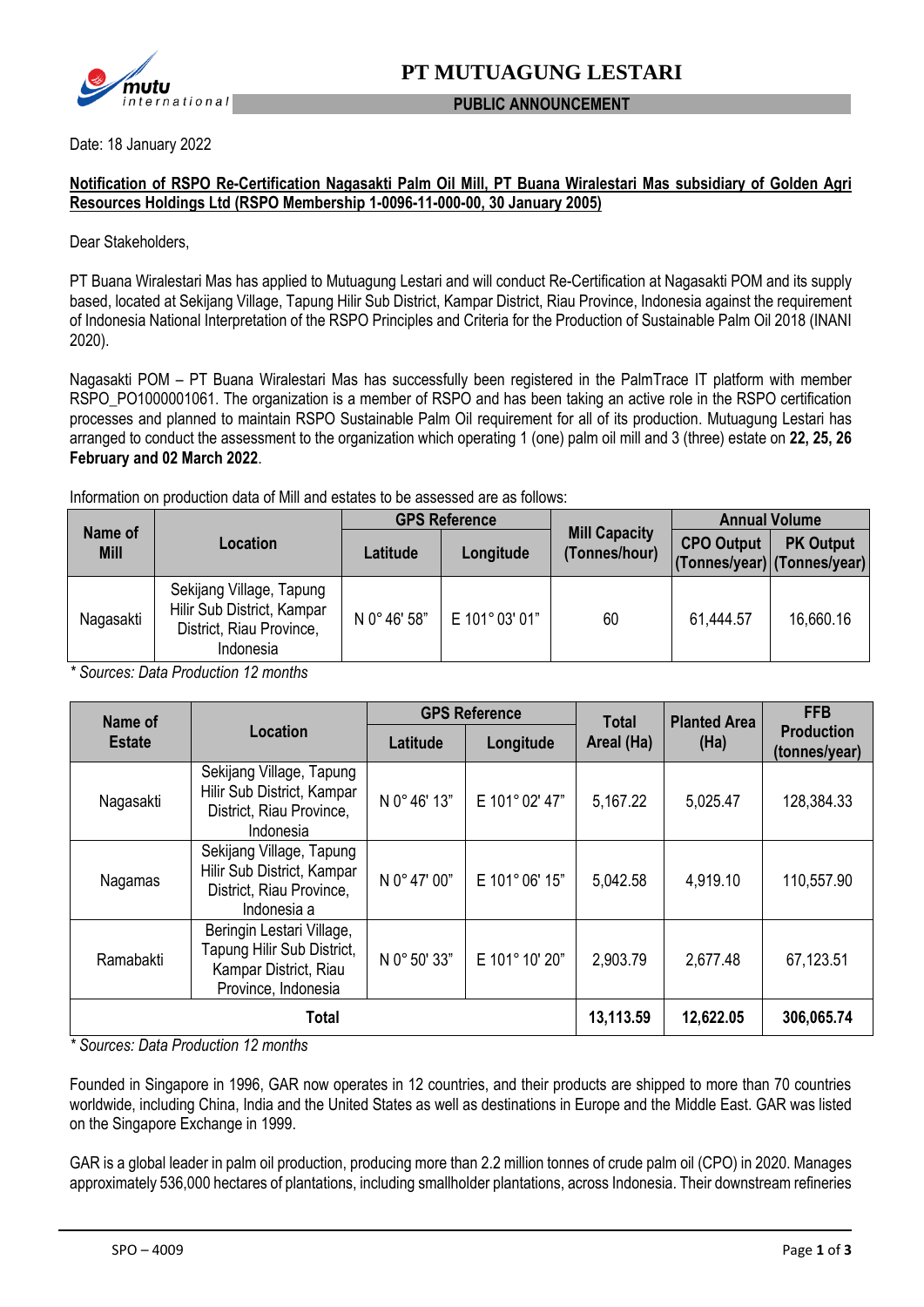

### **PUBLIC ANNOUNCEMENT**

Date: 18 January 2022

### **Notification of RSPO Re-Certification Nagasakti Palm Oil Mill, PT Buana Wiralestari Mas subsidiary of Golden Agri Resources Holdings Ltd (RSPO Membership 1-0096-11-000-00, 30 January 2005)**

Dear Stakeholders,

PT Buana Wiralestari Mas has applied to Mutuagung Lestari and will conduct Re-Certification at Nagasakti POM and its supply based, located at Sekijang Village, Tapung Hilir Sub District, Kampar District, Riau Province, Indonesia against the requirement of Indonesia National Interpretation of the RSPO Principles and Criteria for the Production of Sustainable Palm Oil 2018 (INANI 2020).

Nagasakti POM – PT Buana Wiralestari Mas has successfully been registered in the PalmTrace IT platform with member RSPO\_PO1000001061. The organization is a member of RSPO and has been taking an active role in the RSPO certification processes and planned to maintain RSPO Sustainable Palm Oil requirement for all of its production. Mutuagung Lestari has arranged to conduct the assessment to the organization which operating 1 (one) palm oil mill and 3 (three) estate on **22, 25, 26 February and 02 March 2022**.

Information on production data of Mill and estates to be assessed are as follows:

| Name of<br><b>Mill</b> | Location                                                                                        | <b>GPS Reference</b> |              |                                       | <b>Annual Volume</b> |                                                 |
|------------------------|-------------------------------------------------------------------------------------------------|----------------------|--------------|---------------------------------------|----------------------|-------------------------------------------------|
|                        |                                                                                                 | Latitude             | Longitude    | <b>Mill Capacity</b><br>(Tonnes/hour) | <b>CPO Output</b>    | <b>PK Output</b><br>(Tonnes/year) (Tonnes/year) |
| Nagasakti              | Sekijang Village, Tapung<br>Hilir Sub District, Kampar<br>District, Riau Province,<br>Indonesia | N 0° 46' 58"         | E 101°03'01" | 60                                    | 61,444.57            | 16,660.16                                       |

*\* Sources: Data Production 12 months*

| Name of             | Location                                                                                                | <b>GPS Reference</b> |                | <b>Total</b> | <b>Planted Area</b> | <b>FFB</b>                         |
|---------------------|---------------------------------------------------------------------------------------------------------|----------------------|----------------|--------------|---------------------|------------------------------------|
| <b>Estate</b>       |                                                                                                         | Latitude             | Longitude      | Areal (Ha)   | (Ha)                | <b>Production</b><br>(tonnes/year) |
| Nagasakti           | Sekijang Village, Tapung<br>Hilir Sub District, Kampar<br>District, Riau Province,<br>Indonesia         | N 0° 46' 13"         | E 101° 02' 47" | 5,167.22     | 5,025.47            | 128,384.33                         |
| Nagamas             | Sekijang Village, Tapung<br>Hilir Sub District, Kampar<br>District, Riau Province,<br>Indonesia a       | N 0° 47' 00"         | E 101°06' 15"  | 5,042.58     | 4,919.10            | 110,557.90                         |
| Ramabakti           | Beringin Lestari Village,<br>Tapung Hilir Sub District,<br>Kampar District, Riau<br>Province, Indonesia | N 0° 50' 33"         | E 101° 10' 20" | 2,903.79     | 2,677.48            | 67,123.51                          |
| $\overline{a}$<br>. | 13,113.59                                                                                               | 12,622.05            | 306,065.74     |              |                     |                                    |

*\* Sources: Data Production 12 months*

Founded in Singapore in 1996, GAR now operates in 12 countries, and their products are shipped to more than 70 countries worldwide, including China, India and the United States as well as destinations in Europe and the Middle East. GAR was listed on the Singapore Exchange in 1999.

GAR is a global leader in palm oil production, producing more than 2.2 million tonnes of crude palm oil (CPO) in 2020. Manages approximately 536,000 hectares of plantations, including smallholder plantations, across Indonesia. Their downstream refineries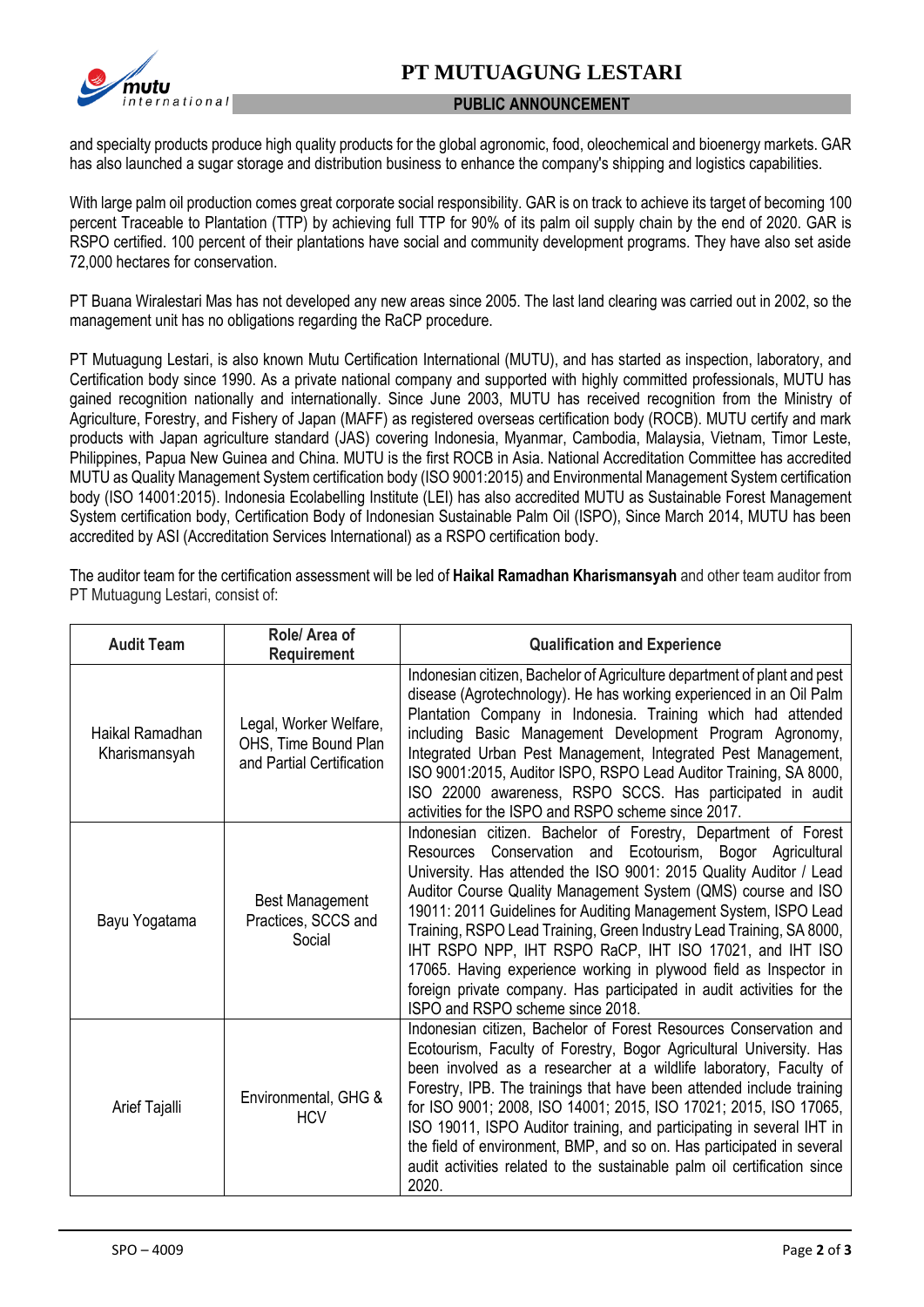# **PT MUTUAGUNG LESTARI**



### **PUBLIC ANNOUNCEMENT**

and specialty products produce high quality products for the global agronomic, food, oleochemical and bioenergy markets. GAR has also launched a sugar storage and distribution business to enhance the company's shipping and logistics capabilities.

With large palm oil production comes great corporate social responsibility. GAR is on track to achieve its target of becoming 100 percent Traceable to Plantation (TTP) by achieving full TTP for 90% of its palm oil supply chain by the end of 2020. GAR is RSPO certified. 100 percent of their plantations have social and community development programs. They have also set aside 72,000 hectares for conservation.

PT Buana Wiralestari Mas has not developed any new areas since 2005. The last land clearing was carried out in 2002, so the management unit has no obligations regarding the RaCP procedure.

PT Mutuagung Lestari, is also known Mutu Certification International (MUTU), and has started as inspection, laboratory, and Certification body since 1990. As a private national company and supported with highly committed professionals, MUTU has gained recognition nationally and internationally. Since June 2003, MUTU has received recognition from the Ministry of Agriculture, Forestry, and Fishery of Japan (MAFF) as registered overseas certification body (ROCB). MUTU certify and mark products with Japan agriculture standard (JAS) covering Indonesia, Myanmar, Cambodia, Malaysia, Vietnam, Timor Leste, Philippines, Papua New Guinea and China. MUTU is the first ROCB in Asia. National Accreditation Committee has accredited MUTU as Quality Management System certification body (ISO 9001:2015) and Environmental Management System certification body (ISO 14001:2015). Indonesia Ecolabelling Institute (LEI) has also accredited MUTU as Sustainable Forest Management System certification body, Certification Body of Indonesian Sustainable Palm Oil (ISPO), Since March 2014, MUTU has been accredited by ASI (Accreditation Services International) as a RSPO certification body.

The auditor team for the certification assessment will be led of **Haikal Ramadhan Kharismansyah** and other team auditor from PT Mutuagung Lestari, consist of:

| <b>Audit Team</b>                | Role/ Area of<br><b>Requirement</b>                                         | <b>Qualification and Experience</b>                                                                                                                                                                                                                                                                                                                                                                                                                                                                                                                                                                                                                            |
|----------------------------------|-----------------------------------------------------------------------------|----------------------------------------------------------------------------------------------------------------------------------------------------------------------------------------------------------------------------------------------------------------------------------------------------------------------------------------------------------------------------------------------------------------------------------------------------------------------------------------------------------------------------------------------------------------------------------------------------------------------------------------------------------------|
| Haikal Ramadhan<br>Kharismansyah | Legal, Worker Welfare,<br>OHS, Time Bound Plan<br>and Partial Certification | Indonesian citizen, Bachelor of Agriculture department of plant and pest<br>disease (Agrotechnology). He has working experienced in an Oil Palm<br>Plantation Company in Indonesia. Training which had attended<br>including Basic Management Development Program Agronomy,<br>Integrated Urban Pest Management, Integrated Pest Management,<br>ISO 9001:2015, Auditor ISPO, RSPO Lead Auditor Training, SA 8000,<br>ISO 22000 awareness, RSPO SCCS. Has participated in audit<br>activities for the ISPO and RSPO scheme since 2017.                                                                                                                          |
| Bayu Yogatama                    | <b>Best Management</b><br>Practices, SCCS and<br>Social                     | Indonesian citizen. Bachelor of Forestry, Department of Forest<br>Conservation and Ecotourism, Bogor Agricultural<br>Resources<br>University. Has attended the ISO 9001: 2015 Quality Auditor / Lead<br>Auditor Course Quality Management System (QMS) course and ISO<br>19011: 2011 Guidelines for Auditing Management System, ISPO Lead<br>Training, RSPO Lead Training, Green Industry Lead Training, SA 8000,<br>IHT RSPO NPP, IHT RSPO RaCP, IHT ISO 17021, and IHT ISO<br>17065. Having experience working in plywood field as Inspector in<br>foreign private company. Has participated in audit activities for the<br>ISPO and RSPO scheme since 2018. |
| Arief Tajalli                    | Environmental, GHG &<br><b>HCV</b>                                          | Indonesian citizen, Bachelor of Forest Resources Conservation and<br>Ecotourism, Faculty of Forestry, Bogor Agricultural University. Has<br>been involved as a researcher at a wildlife laboratory, Faculty of<br>Forestry, IPB. The trainings that have been attended include training<br>for ISO 9001; 2008, ISO 14001; 2015, ISO 17021; 2015, ISO 17065,<br>ISO 19011, ISPO Auditor training, and participating in several IHT in<br>the field of environment, BMP, and so on. Has participated in several<br>audit activities related to the sustainable palm oil certification since<br>2020.                                                             |